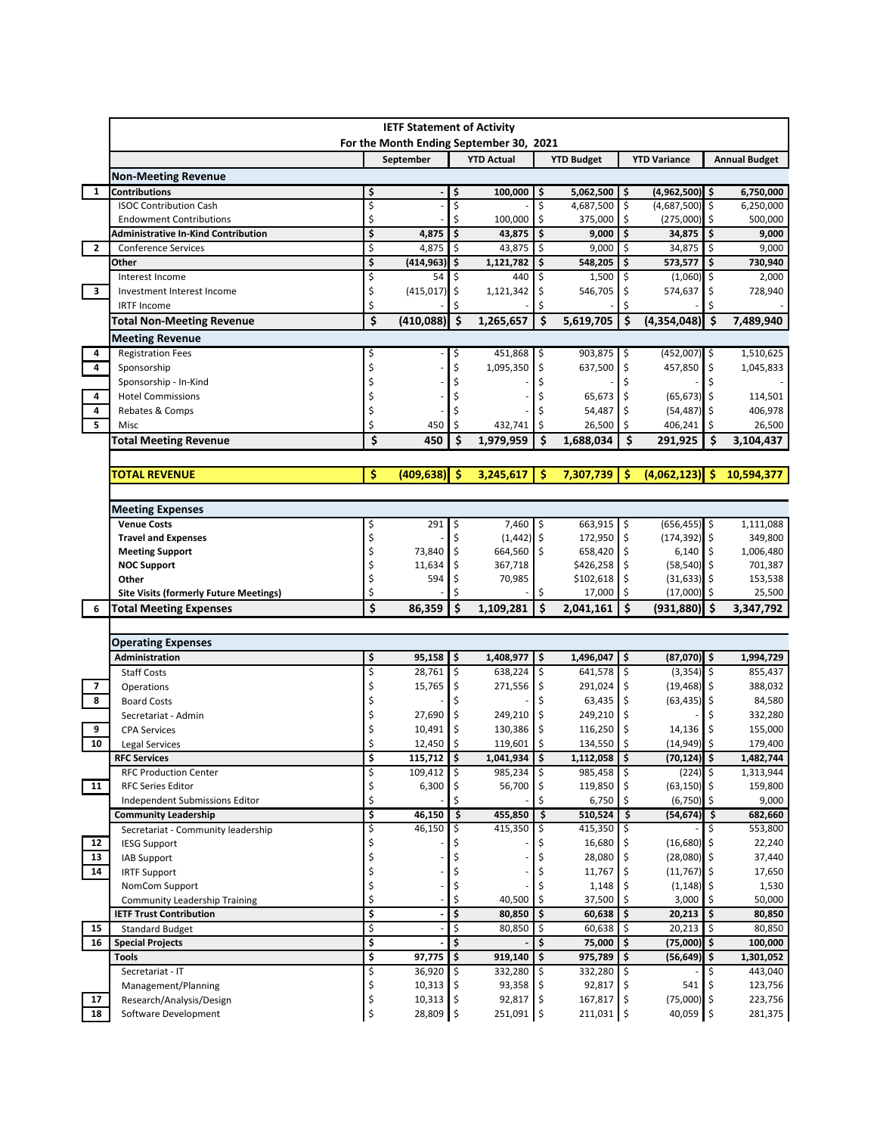|              | <b>IETF Statement of Activity</b><br>For the Month Ending September 30, 2021 |         |                        |          |                   |          |                       |            |                           |      |                      |
|--------------|------------------------------------------------------------------------------|---------|------------------------|----------|-------------------|----------|-----------------------|------------|---------------------------|------|----------------------|
|              |                                                                              |         | September              |          | <b>YTD Actual</b> |          | <b>YTD Budget</b>     |            | <b>YTD Variance</b>       |      | <b>Annual Budget</b> |
|              | <b>Non-Meeting Revenue</b>                                                   |         |                        |          |                   |          |                       |            |                           |      |                      |
| $\mathbf{1}$ | Contributions                                                                | \$      |                        | \$       | 100,000           | \$       | 5,062,500             | I\$        | $(4,962,500)$ \$          |      | 6,750,000            |
|              | <b>ISOC Contribution Cash</b>                                                | \$      |                        | \$       |                   | \$       | 4,687,500             | ډ          | $(4,687,500)$ \$          |      | 6,250,000            |
|              | <b>Endowment Contributions</b>                                               | \$      |                        | Ś        | 100,000           | \$       | 375,000               | \$         | (275,000)                 | -\$  | 500,000              |
|              | Administrative In-Kind Contribution                                          | \$      | 4,875                  | \$       | 43,875            | \$       | 9,000                 | \$         | 34,875                    | \$   | 9,000                |
| $\mathbf{2}$ | <b>Conference Services</b>                                                   | \$      | 4,875                  | \$       | 43,875            | \$       | 9,000                 | \$         | 34,875                    | \$ ا | 9,000                |
|              | Other                                                                        | \$      | (414, 963)             | \$       | 1,121,782         | \$       | 548,205               | \$         | 573,577                   | \$   | 730,940              |
|              | Interest Income                                                              | \$      | 54                     | \$       | 440               | \$       | $1,500$ \$            |            | (1,060)                   | \$ ا | 2,000                |
| 3            | Investment Interest Income                                                   | \$      | (415, 017)             | \$       | 1,121,342         | \$       | 546,705               | \$         | 574,637                   | \$   | 728,940              |
|              | <b>IRTF Income</b>                                                           | \$      |                        | Ś        |                   | \$       |                       |            |                           |      |                      |
|              | Total Non-Meeting Revenue                                                    | \$      | (410, 088)             | \$       | 1,265,657         | \$       | 5,619,705             | \$         | (4,354,048)               | ۱\$  | 7,489,940            |
|              | <b>Meeting Revenue</b>                                                       |         |                        |          |                   |          |                       |            |                           |      |                      |
| 4            | <b>Registration Fees</b>                                                     | Ş       |                        |          | 451,868 \$        |          | 903,875 \$            |            | $(452,007)$ \$            |      | 1,510,625            |
| 4            | Sponsorship                                                                  | \$      |                        | \$       | 1,095,350         | \$       | 637,500               | \$         | 457,850                   | \$   | 1,045,833            |
|              | Sponsorship - In-Kind                                                        |         |                        |          |                   | \$       |                       | \$         |                           |      |                      |
| 4            | <b>Hotel Commissions</b>                                                     |         |                        |          |                   | \$       | 65,673 \$             |            | $(65, 673)$ \$            |      | 114,501              |
| 4            | Rebates & Comps                                                              | \$      |                        |          |                   | Ś        | 54,487                | \$         | $(54, 487)$ \$            |      | 406,978              |
| 5            | Misc                                                                         | Ś       | 450                    | \$       | 432,741           | \$       | 26,500                | -\$        | 406,241                   | -Ś   | 26,500               |
|              | <b>Total Meeting Revenue</b>                                                 | \$      | 450                    | \$       | 1,979,959         | \$       | 1,688,034             | \$         | 291,925                   | Ś.   | 3,104,437            |
|              |                                                                              |         |                        |          |                   |          |                       |            |                           |      |                      |
|              | <b>TOTAL REVENUE</b>                                                         | \$      | (409, 638)             | -Ś       | 3,245,617         | Ŝ        | 7,307,739             | -Ś         | (4,062,123)               | Ŝ    | 10,594,377           |
|              |                                                                              |         |                        |          |                   |          |                       |            |                           |      |                      |
|              | <b>Meeting Expenses</b>                                                      |         |                        |          |                   |          |                       |            |                           |      |                      |
|              | <b>Venue Costs</b>                                                           | \$      | 291                    | Ş        | $7,460$ \$        |          | $663,915$ \$          |            | $(656, 455)$ \$           |      | 1,111,088            |
|              | <b>Travel and Expenses</b>                                                   | \$      |                        | \$       | $(1,442)$ \$      |          | 172,950 \$            |            | $(174, 392)$ \$           |      | 349,800              |
|              | <b>Meeting Support</b>                                                       | \$      | 73,840                 | \$       | 664,560 \$        |          | 658,420 \$            |            | 6,140                     |      | 1,006,480            |
|              | <b>NOC Support</b>                                                           | \$      | 11,634                 | \$       | 367,718           |          | $$426,258$ \$         |            | $(58, 540)$ \$            |      | 701,387              |
|              | Other                                                                        | \$      | 594                    | \$       | 70,985            |          | $$102,618$ \$         |            | $(31, 633)$ \$            |      | 153,538              |
|              | <b>Site Visits (formerly Future Meetings)</b>                                | \$      |                        |          |                   | Ś        | 17,000                | \$         | (17,000)                  | ۱\$  | 25,500               |
| 6            | Total Meeting Expenses                                                       | \$      | 86,359                 | \$       | 1,109,281         | \$       | 2,041,161             | \$         | (931, 880)                | l \$ | 3,347,792            |
|              |                                                                              |         |                        |          |                   |          |                       |            |                           |      |                      |
|              | <b>Operating Expenses</b>                                                    |         |                        |          |                   |          |                       |            |                           |      |                      |
|              | Administration                                                               | \$      | 95,158                 | \$       | 1,408,977         | \$       | 1,496,047             | \$         | $(87,070)$ \$             |      | 1,994,729            |
|              | <b>Staff Costs</b>                                                           | \$      | 28,761                 | \$       | $638,224$ \$      |          | 641,578 \$            |            | $(3,354)$ \$              |      | 855,437              |
| 7<br>8       | Operations                                                                   | \$<br>Ś | 15,765                 | \$<br>Ś  | 271,556 \$        |          | 291,024               | \$         | $(19, 468)$ \$            |      | 388,032              |
|              | <b>Board Costs</b>                                                           | \$      |                        |          | 249,210           |          | 63,435 \$             |            | $(63, 435)$ \$            |      | 84,580               |
| 9            | Secretariat - Admin                                                          | \$      | 27,690<br>10,491       | \$<br>\$ | 130,386           | \$<br>\$ | 249,210 \$<br>116,250 | \$         |                           |      | 332,280<br>155,000   |
| 10           | <b>CPA Services</b>                                                          | Ś       | 12,450                 | \$       | 119,601           | Ś        | 134,550               | \$         | 14,136<br>(14, 949)       | -\$  | 179,400              |
|              | Legal Services                                                               |         |                        |          | 1,041,934         |          | 1,112,058   \$        |            |                           |      | 1,482,744            |
|              | <b>RFC Services</b><br><b>RFC Production Center</b>                          | Ş<br>\$ | 115,712   Ş<br>109,412 | \$       | $985,234$ \$      | ١Ş       | 985,458 \$            |            | (70,124)  Ş<br>$(224)$ \$ |      | 1,313,944            |
| 11           | <b>RFC Series Editor</b>                                                     | \$      | 6,300                  | \$       | 56,700 \$         |          | 119,850               |            | $(63, 150)$ \$            |      | 159,800              |
|              | Independent Submissions Editor                                               | \$      |                        | Ś        |                   | \$       | 6,750                 |            | (6, 750)                  | ۱\$  | 9,000                |
|              | <b>Community Leadership</b>                                                  | \$      | 46,150                 | \$       | 455,850           | \$       | 510,524               | -\$        | $(54, 674)$ \$            |      | 682,660              |
|              | Secretariat - Community leadership                                           | \$      | 46,150                 |          | 415,350           | \$       | 415,350 \$            |            |                           |      | 553,800              |
| 12           | <b>IESG Support</b>                                                          | \$      |                        |          |                   | Ş        | 16,680 \$             |            | $(16,680)$ \$             |      | 22,240               |
| 13           | <b>IAB Support</b>                                                           | \$      |                        |          |                   | \$       | 28,080 \$             |            | $(28,080)$ \$             |      | 37,440               |
| 14           | <b>IRTF Support</b>                                                          | \$      |                        |          |                   | \$       | 11,767 \$             |            | $(11,767)$ \$             |      | 17,650               |
|              | NomCom Support                                                               | \$      |                        |          |                   |          | 1,148                 |            | $(1, 148)$ \$             |      | 1,530                |
|              | <b>Community Leadership Training</b>                                         | \$      |                        | Ś        | 40,500            | \$       | 37,500                |            | 3,000                     |      | 50,000               |
|              | <b>IETF Trust Contribution</b>                                               | \$      |                        | \$       | 80,850            | \$       | 60,638                | \$         | 20,213                    | \$ ا | 80,850               |
| 15           | <b>Standard Budget</b>                                                       | \$      |                        | \$       | 80,850            | \$       | 60,638                | Ś          | 20,213                    | -\$  | 80,850               |
| 16           | <b>Special Projects</b>                                                      | \$      |                        | \$       |                   | \$       | 75,000                | \$         | (75,000) \$               |      | 100,000              |
|              | <b>Tools</b>                                                                 | \$      | 97,775                 | \$       | 919,140           | \$       | $975,789$ \$          |            | (56,649) \$               |      | 1,301,052            |
|              | Secretariat - IT                                                             | \$      | 36,920                 |          | 332,280 \$        |          | 332,280 \$            |            |                           |      | 443,040              |
|              | Management/Planning                                                          | \$      | 10,313                 | \$       | 93,358 \$         |          | 92,817 \$             |            | 541                       |      | 123,756              |
| 17           | Research/Analysis/Design                                                     | \$      | 10,313                 | \$       | $92,817$ \$       |          | 167,817 \$            |            | $(75,000)$ \$             |      | 223,756              |
| 18           | Software Development                                                         | \$      | 28,809                 | \$       | 251,091 \$        |          | 211,031               | $\vert$ \$ | 40,059                    | -\$  | 281,375              |